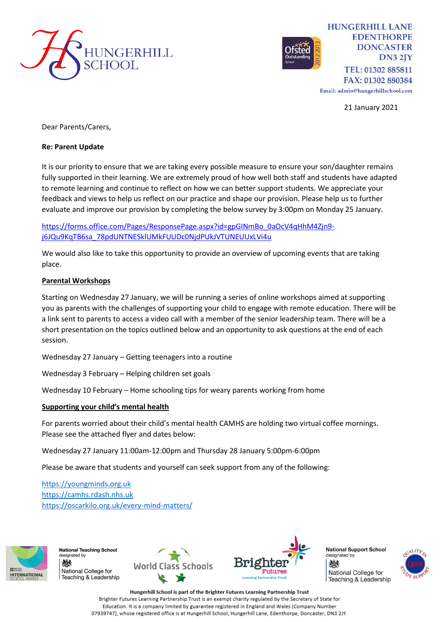



**HUNGERHILL LANE EDENTHORPE DONCASTER**  $DN32IY$ TEL: 01302 885811 FAX: 01302 880384

Email: admin@hungerhillschool.com

21 January 2021

Dear Parents/Carers,

## **Re: Parent Update**

It is our priority to ensure that we are taking every possible measure to ensure your son/daughter remains fully supported in their learning. We are extremely proud of how well both staff and students have adapted to remote learning and continue to reflect on how we can better support students. We appreciate your feedback and views to help us reflect on our practice and shape our provision. Please help us to further evaluate and improve our provision by completing the below survey by 3:00pm on Monday 25 January.

[https://forms.office.com/Pages/ResponsePage.aspx?id=gpGINmBo\\_0aOcV4qHhM4Zjn9](https://forms.office.com/Pages/ResponsePage.aspx?id=gpGINmBo_0aOcV4qHhM4Zjn9-j6JQu9KqTB6sa_78pdUNTNESklUMkFUUDc0NjdPUkJVTUNEUUxLVi4u) [j6JQu9KqTB6sa\\_78pdUNTNESklUMkFUUDc0NjdPUkJVTUNEUUxLVi4u](https://forms.office.com/Pages/ResponsePage.aspx?id=gpGINmBo_0aOcV4qHhM4Zjn9-j6JQu9KqTB6sa_78pdUNTNESklUMkFUUDc0NjdPUkJVTUNEUUxLVi4u)

We would also like to take this opportunity to provide an overview of upcoming events that are taking place.

## **Parental Workshops**

Starting on Wednesday 27 January, we will be running a series of online workshops aimed at supporting you as parents with the challenges of supporting your child to engage with remote education. There will be a link sent to parents to access a video call with a member of the senior leadership team. There will be a short presentation on the topics outlined below and an opportunity to ask questions at the end of each session.

Wednesday 27 January – Getting teenagers into a routine

Wednesday 3 February – Helping children set goals

Wednesday 10 February – Home schooling tips for weary parents working from home

## **Supporting your child's mental health**

For parents worried about their child's mental health CAMHS are holding two virtual coffee mornings. Please see the attached flyer and dates below:

Wednesday 27 January 11:00am-12:00pm and Thursday 28 January 5:00pm-6:00pm

Please be aware that students and yourself can seek support from any of the following:

[https://youngminds.org.uk](https://youngminds.org.uk/) [https://camhs.rdash.nhs.uk](https://camhs.rdash.nhs.uk/) <https://oscarkilo.org.uk/every-mind-matters/>



**National Teaching School** designated by 燃 National College for Feaching & Leadership





**National Support School** designated by 燃 National College for Teaching & Leadership



Hungerhill School is part of the Brighter Futures Learning Partnership Trust Brighter Futures Learning Partnership Trust is an exempt charity regulated by the Secretary of State for Education. It is a company limited by guarantee registered in England and Wales (Company Number 07939747), whose registered office is at Hungerhill School, Hungerhill Lane, Edenthorpe, Doncaster, DN3 2JY.